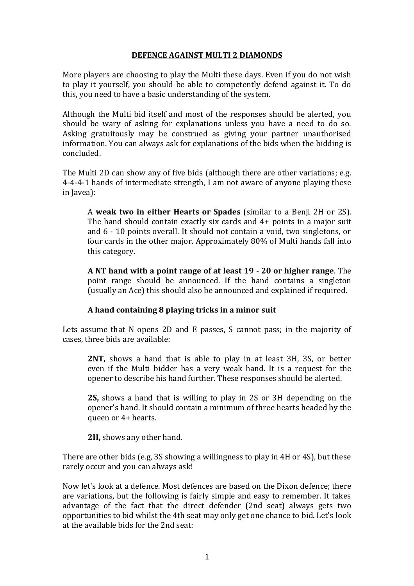## **DEFENCE AGAINST MULTI 2 DIAMONDS**

More players are choosing to play the Multi these days. Even if you do not wish to play it yourself, you should be able to competently defend against it. To do this, you need to have a basic understanding of the system.

Although the Multi bid itself and most of the responses should be alerted, you should be wary of asking for explanations unless you have a need to do so. Asking gratuitously may be construed as giving your partner unauthorised information. You can always ask for explanations of the bids when the bidding is concluded.

The Multi 2D can show any of five bids (although there are other variations; e.g. 4-4-4-1 hands of intermediate strength, I am not aware of anyone playing these in Javea):

A **weak two in either Hearts or Spades** (similar to a Benji 2H or 2S). The hand should contain exactly six cards and 4+ points in a major suit and 6 - 10 points overall. It should not contain a void, two singletons, or four cards in the other major. Approximately 80% of Multi hands fall into this category.

**A NT hand with a point range of at least 19 - 20 or higher range**. The point range should be announced. If the hand contains a singleton (usually an Ace) this should also be announced and explained if required.

## **A hand containing 8 playing tricks in a minor suit**

Lets assume that N opens 2D and E passes, S cannot pass; in the majority of cases, three bids are available:

**2NT,** shows a hand that is able to play in at least 3H, 3S, or better even if the Multi bidder has a very weak hand. It is a request for the opener to describe his hand further. These responses should be alerted.

**2S,** shows a hand that is willing to play in 2S or 3H depending on the opener's hand. It should contain a minimum of three hearts headed by the queen or 4+ hearts.

**2H,** shows any other hand.

There are other bids (e.g, 3S showing a willingness to play in 4H or 4S), but these rarely occur and you can always ask!

Now let's look at a defence. Most defences are based on the Dixon defence; there are variations, but the following is fairly simple and easy to remember. It takes advantage of the fact that the direct defender (2nd seat) always gets two opportunities to bid whilst the 4th seat may only get one chance to bid. Let's look at the available bids for the 2nd seat: